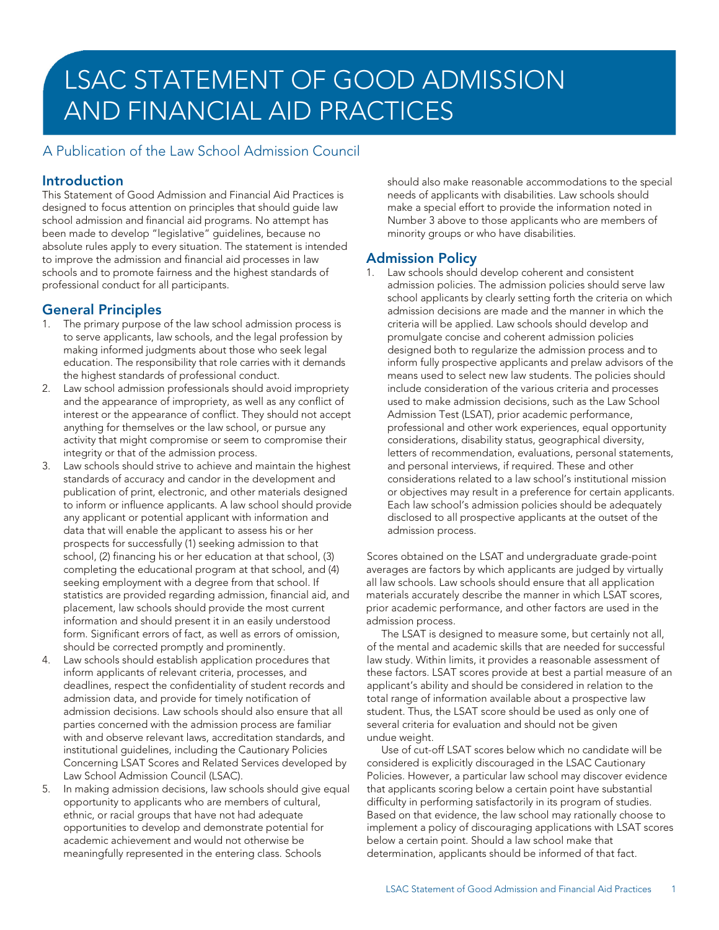# LSAC STATEMENT OF GOOD ADMISSION AND FINANCIAL AID PRACTICES

## A Publication of the Law School Admission Council

## Introduction

This Statement of Good Admission and Financial Aid Practices is designed to focus attention on principles that should guide law school admission and financial aid programs. No attempt has been made to develop "legislative" guidelines, because no absolute rules apply to every situation. The statement is intended to improve the admission and financial aid processes in law schools and to promote fairness and the highest standards of professional conduct for all participants.

#### General Principles

- 1. The primary purpose of the law school admission process is to serve applicants, law schools, and the legal profession by making informed judgments about those who seek legal education. The responsibility that role carries with it demands the highest standards of professional conduct.
- 2. Law school admission professionals should avoid impropriety and the appearance of impropriety, as well as any conflict of interest or the appearance of conflict. They should not accept anything for themselves or the law school, or pursue any activity that might compromise or seem to compromise their integrity or that of the admission process.
- 3. Law schools should strive to achieve and maintain the highest standards of accuracy and candor in the development and publication of print, electronic, and other materials designed to inform or influence applicants. A law school should provide any applicant or potential applicant with information and data that will enable the applicant to assess his or her prospects for successfully (1) seeking admission to that school, (2) financing his or her education at that school, (3) completing the educational program at that school, and (4) seeking employment with a degree from that school. If statistics are provided regarding admission, financial aid, and placement, law schools should provide the most current information and should present it in an easily understood form. Significant errors of fact, as well as errors of omission, should be corrected promptly and prominently.
- 4. Law schools should establish application procedures that inform applicants of relevant criteria, processes, and deadlines, respect the confidentiality of student records and admission data, and provide for timely notification of admission decisions. Law schools should also ensure that all parties concerned with the admission process are familiar with and observe relevant laws, accreditation standards, and institutional guidelines, including the Cautionary Policies Concerning LSAT Scores and Related Services developed by Law School Admission Council (LSAC).
- 5. In making admission decisions, law schools should give equal opportunity to applicants who are members of cultural, ethnic, or racial groups that have not had adequate opportunities to develop and demonstrate potential for academic achievement and would not otherwise be meaningfully represented in the entering class. Schools

should also make reasonable accommodations to the special needs of applicants with disabilities. Law schools should make a special effort to provide the information noted in Number 3 above to those applicants who are members of minority groups or who have disabilities.

## Admission Policy

1. Law schools should develop coherent and consistent admission policies. The admission policies should serve law school applicants by clearly setting forth the criteria on which admission decisions are made and the manner in which the criteria will be applied. Law schools should develop and promulgate concise and coherent admission policies designed both to regularize the admission process and to inform fully prospective applicants and prelaw advisors of the means used to select new law students. The policies should include consideration of the various criteria and processes used to make admission decisions, such as the Law School Admission Test (LSAT), prior academic performance, professional and other work experiences, equal opportunity considerations, disability status, geographical diversity, letters of recommendation, evaluations, personal statements, and personal interviews, if required. These and other considerations related to a law school's institutional mission or objectives may result in a preference for certain applicants. Each law school's admission policies should be adequately disclosed to all prospective applicants at the outset of the admission process.

Scores obtained on the LSAT and undergraduate grade-point averages are factors by which applicants are judged by virtually all law schools. Law schools should ensure that all application materials accurately describe the manner in which LSAT scores, prior academic performance, and other factors are used in the admission process.

The LSAT is designed to measure some, but certainly not all, of the mental and academic skills that are needed for successful law study. Within limits, it provides a reasonable assessment of these factors. LSAT scores provide at best a partial measure of an applicant's ability and should be considered in relation to the total range of information available about a prospective law student. Thus, the LSAT score should be used as only one of several criteria for evaluation and should not be given undue weight.

Use of cut-off LSAT scores below which no candidate will be considered is explicitly discouraged in the LSAC Cautionary Policies. However, a particular law school may discover evidence that applicants scoring below a certain point have substantial difficulty in performing satisfactorily in its program of studies. Based on that evidence, the law school may rationally choose to implement a policy of discouraging applications with LSAT scores below a certain point. Should a law school make that determination, applicants should be informed of that fact.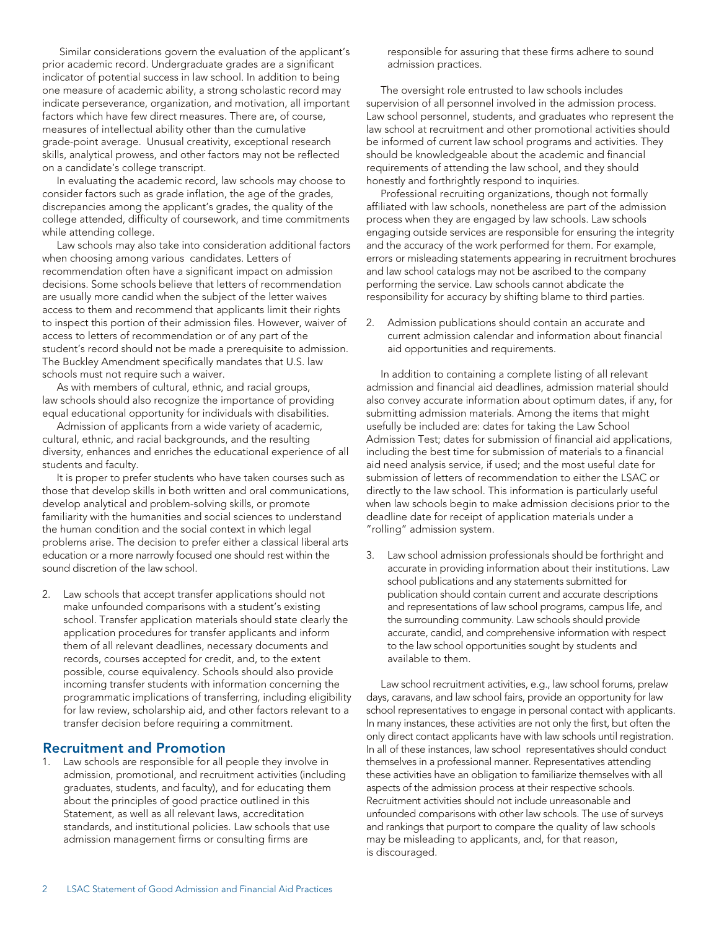Similar considerations govern the evaluation of the applicant's prior academic record. Undergraduate grades are a significant indicator of potential success in law school. In addition to being one measure of academic ability, a strong scholastic record may indicate perseverance, organization, and motivation, all important factors which have few direct measures. There are, of course, measures of intellectual ability other than the cumulative grade-point average. Unusual creativity, exceptional research skills, analytical prowess, and other factors may not be reflected on a candidate's college transcript.

In evaluating the academic record, law schools may choose to consider factors such as grade inflation, the age of the grades, discrepancies among the applicant's grades, the quality of the college attended, difficulty of coursework, and time commitments while attending college.

Law schools may also take into consideration additional factors when choosing among various candidates. Letters of recommendation often have a significant impact on admission decisions. Some schools believe that letters of recommendation are usually more candid when the subject of the letter waives access to them and recommend that applicants limit their rights to inspect this portion of their admission files. However, waiver of access to letters of recommendation or of any part of the student's record should not be made a prerequisite to admission. The Buckley Amendment specifically mandates that U.S. law schools must not require such a waiver.

As with members of cultural, ethnic, and racial groups, law schools should also recognize the importance of providing equal educational opportunity for individuals with disabilities.

Admission of applicants from a wide variety of academic, cultural, ethnic, and racial backgrounds, and the resulting diversity, enhances and enriches the educational experience of all students and faculty.

It is proper to prefer students who have taken courses such as those that develop skills in both written and oral communications, develop analytical and problem-solving skills, or promote familiarity with the humanities and social sciences to understand the human condition and the social context in which legal problems arise. The decision to prefer either a classical liberal arts education or a more narrowly focused one should rest within the sound discretion of the law school.

2. Law schools that accept transfer applications should not make unfounded comparisons with a student's existing school. Transfer application materials should state clearly the application procedures for transfer applicants and inform them of all relevant deadlines, necessary documents and records, courses accepted for credit, and, to the extent possible, course equivalency. Schools should also provide incoming transfer students with information concerning the programmatic implications of transferring, including eligibility for law review, scholarship aid, and other factors relevant to a transfer decision before requiring a commitment.

#### Recruitment and Promotion

1. Law schools are responsible for all people they involve in admission, promotional, and recruitment activities (including graduates, students, and faculty), and for educating them about the principles of good practice outlined in this Statement, as well as all relevant laws, accreditation standards, and institutional policies. Law schools that use admission management firms or consulting firms are

responsible for assuring that these firms adhere to sound admission practices.

The oversight role entrusted to law schools includes supervision of all personnel involved in the admission process. Law school personnel, students, and graduates who represent the law school at recruitment and other promotional activities should be informed of current law school programs and activities. They should be knowledgeable about the academic and financial requirements of attending the law school, and they should honestly and forthrightly respond to inquiries.

Professional recruiting organizations, though not formally affiliated with law schools, nonetheless are part of the admission process when they are engaged by law schools. Law schools engaging outside services are responsible for ensuring the integrity and the accuracy of the work performed for them. For example, errors or misleading statements appearing in recruitment brochures and law school catalogs may not be ascribed to the company performing the service. Law schools cannot abdicate the responsibility for accuracy by shifting blame to third parties.

2. Admission publications should contain an accurate and current admission calendar and information about financial aid opportunities and requirements.

In addition to containing a complete listing of all relevant admission and financial aid deadlines, admission material should also convey accurate information about optimum dates, if any, for submitting admission materials. Among the items that might usefully be included are: dates for taking the Law School Admission Test; dates for submission of financial aid applications, including the best time for submission of materials to a financial aid need analysis service, if used; and the most useful date for submission of letters of recommendation to either the LSAC or directly to the law school. This information is particularly useful when law schools begin to make admission decisions prior to the deadline date for receipt of application materials under a "rolling" admission system.

3. Law school admission professionals should be forthright and accurate in providing information about their institutions. Law school publications and any statements submitted for publication should contain current and accurate descriptions and representations of law school programs, campus life, and the surrounding community. Law schools should provide accurate, candid, and comprehensive information with respect to the law school opportunities sought by students and available to them.

Law school recruitment activities, e.g., law school forums, prelaw days, caravans, and law school fairs, provide an opportunity for law school representatives to engage in personal contact with applicants. In many instances, these activities are not only the first, but often the only direct contact applicants have with law schools until registration. In all of these instances, law school representatives should conduct themselves in a professional manner. Representatives attending these activities have an obligation to familiarize themselves with all aspects of the admission process at their respective schools. Recruitment activities should not include unreasonable and unfounded comparisons with other law schools. The use of surveys and rankings that purport to compare the quality of law schools may be misleading to applicants, and, for that reason, is discouraged.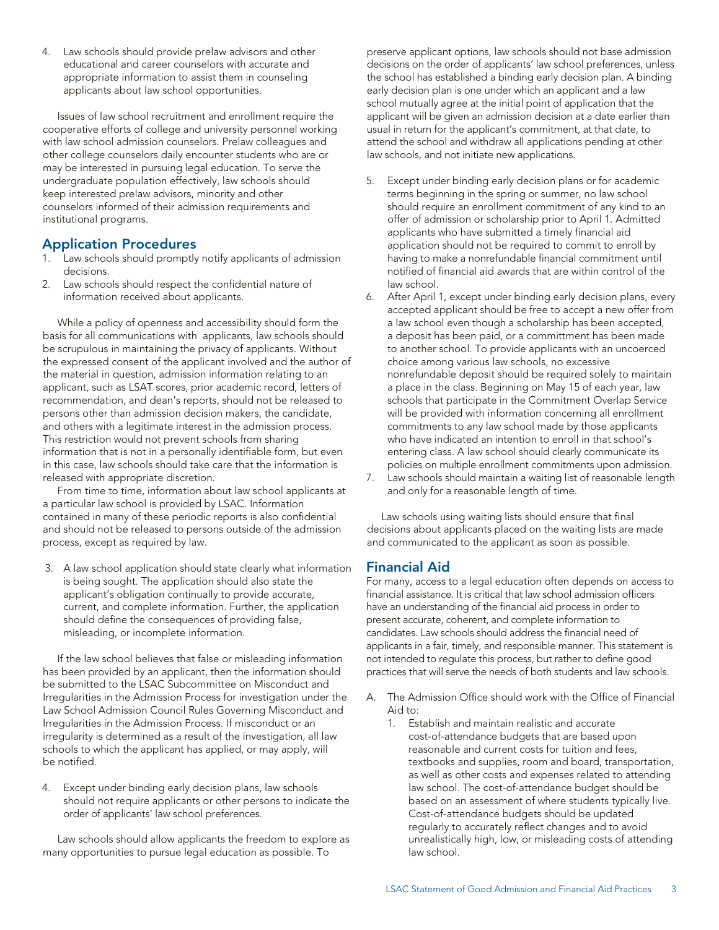4. Law schools should provide prelaw advisors and other educational and career counselors with accurate and appropriate information to assist them in counseling applicants about law school opportunities.

Issues of law school recruitment and enrollment require the cooperative efforts of college and university personnel working with law school admission counselors. Prelaw colleagues and other college counselors daily encounter students who are or may be interested in pursuing legal education. To serve the undergraduate population effectively, law schools should keep interested prelaw advisors, minority and other counselors informed of their admission requirements and institutional programs.

# **Application Procedures**<br>1. Law schools should promotly

- Law schools should promptly notify applicants of admission decisions.
- 2. Law schools should respect the confidential nature of information received about applicants.

While a policy of openness and accessibility should form the basis for all communications with applicants, law schools should be scrupulous in maintaining the privacy of applicants. Without the expressed consent of the applicant involved and the author of the material in question, admission information relating to an applicant, such as LSAT scores, prior academic record, letters of recommendation, and dean's reports, should not be released to persons other than admission decision makers, the candidate, and others with a legitimate interest in the admission process. This restriction would not prevent schools from sharing information that is not in a personally identifiable form, but even in this case, law schools should take care that the information is released with appropriate discretion.

From time to time, information about law school applicants at a particular law school is provided by LSAC. Information contained in many of these periodic reports is also confidential and should not be released to persons outside of the admission process, except as required by law.

 3. A law school application should state clearly what information is being sought. The application should also state the applicant's obligation continually to provide accurate, current, and complete information. Further, the application should define the consequences of providing false, misleading, or incomplete information.

If the law school believes that false or misleading information has been provided by an applicant, then the information should be submitted to the LSAC Subcommittee on Misconduct and Irregularities in the Admission Process for investigation under the Law School Admission Council Rules Governing Misconduct and Irregularities in the Admission Process. If misconduct or an irregularity is determined as a result of the investigation, all law schools to which the applicant has applied, or may apply, will be notified.

4. Except under binding early decision plans, law schools should not require applicants or other persons to indicate the order of applicants' law school preferences.

Law schools should allow applicants the freedom to explore as many opportunities to pursue legal education as possible. To

preserve applicant options, law schools should not base admission decisions on the order of applicants' law school preferences, unless the school has established a binding early decision plan. A binding early decision plan is one under which an applicant and a law school mutually agree at the initial point of application that the applicant will be given an admission decision at a date earlier than usual in return for the applicant's commitment, at that date, to attend the school and withdraw all applications pending at other law schools, and not initiate new applications.

- 5. Except under binding early decision plans or for academic terms beginning in the spring or summer, no law school should require an enrollment commitment of any kind to an offer of admission or scholarship prior to April 1. Admitted applicants who have submitted a timely financial aid application should not be required to commit to enroll by having to make a nonrefundable financial commitment until notified of financial aid awards that are within control of the law school.
- 6. After April 1, except under binding early decision plans, every accepted applicant should be free to accept a new offer from a law school even though a scholarship has been accepted, a deposit has been paid, or a committment has been made to another school. To provide applicants with an uncoerced choice among various law schools, no excessive nonrefundable deposit should be required solely to maintain a place in the class. Beginning on May 15 of each year, law schools that participate in the Commitment Overlap Service will be provided with information concerning all enrollment commitments to any law school made by those applicants who have indicated an intention to enroll in that school's entering class. A law school should clearly communicate its policies on multiple enrollment commitments upon admission.
- 7. Law schools should maintain a waiting list of reasonable length and only for a reasonable length of time.

Law schools using waiting lists should ensure that final decisions about applicants placed on the waiting lists are made and communicated to the applicant as soon as possible.

#### Financial Aid

For many, access to a legal education often depends on access to financial assistance. It is critical that law school admission officers have an understanding of the financial aid process in order to present accurate, coherent, and complete information to candidates. Law schools should address the financial need of applicants in a fair, timely, and responsible manner. This statement is not intended to regulate this process, but rather to define good practices that will serve the needs of both students and law schools.

- A. The Admission Office should work with the Office of Financial Aid to:
	- 1. Establish and maintain realistic and accurate cost-of-attendance budgets that are based upon reasonable and current costs for tuition and fees, textbooks and supplies, room and board, transportation, as well as other costs and expenses related to attending law school. The cost-of-attendance budget should be based on an assessment of where students typically live. Cost-of-attendance budgets should be updated regularly to accurately reflect changes and to avoid unrealistically high, low, or misleading costs of attending law school.